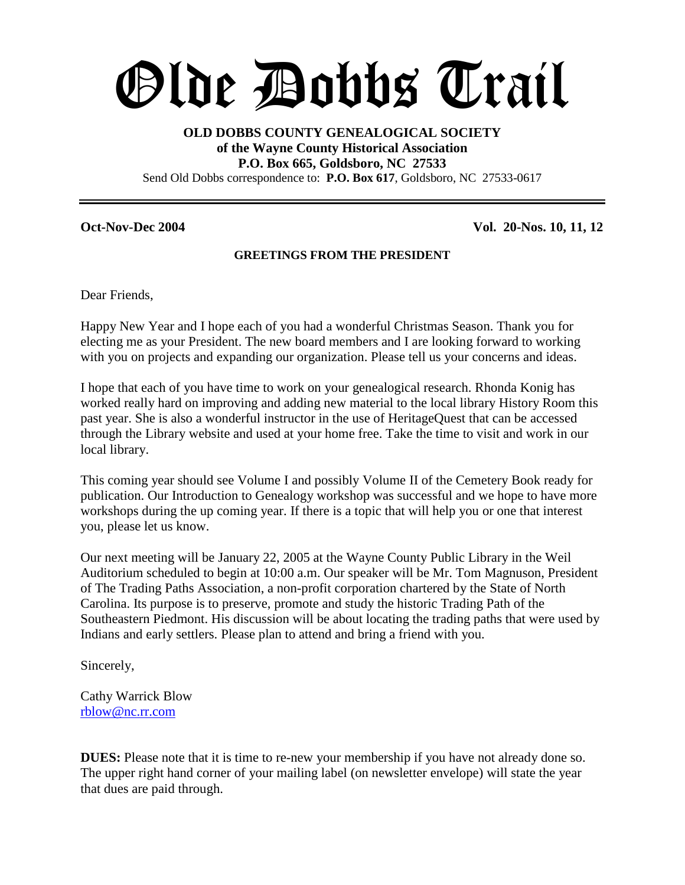# Olde Dobbs Trail

# **OLD DOBBS COUNTY GENEALOGICAL SOCIETY of the Wayne County Historical Association P.O. Box 665, Goldsboro, NC 27533** Send Old Dobbs correspondence to: **P.O. Box 617**, Goldsboro, NC 27533-0617

**Oct-Nov-Dec 2004 Vol. 20-Nos. 10, 11, 12**

# **GREETINGS FROM THE PRESIDENT**

Dear Friends,

Happy New Year and I hope each of you had a wonderful Christmas Season. Thank you for electing me as your President. The new board members and I are looking forward to working with you on projects and expanding our organization. Please tell us your concerns and ideas.

I hope that each of you have time to work on your genealogical research. Rhonda Konig has worked really hard on improving and adding new material to the local library History Room this past year. She is also a wonderful instructor in the use of HeritageQuest that can be accessed through the Library website and used at your home free. Take the time to visit and work in our local library.

This coming year should see Volume I and possibly Volume II of the Cemetery Book ready for publication. Our Introduction to Genealogy workshop was successful and we hope to have more workshops during the up coming year. If there is a topic that will help you or one that interest you, please let us know.

Our next meeting will be January 22, 2005 at the Wayne County Public Library in the Weil Auditorium scheduled to begin at 10:00 a.m. Our speaker will be Mr. Tom Magnuson, President of The Trading Paths Association, a non-profit corporation chartered by the State of North Carolina. Its purpose is to preserve, promote and study the historic Trading Path of the Southeastern Piedmont. His discussion will be about locating the trading paths that were used by Indians and early settlers. Please plan to attend and bring a friend with you.

Sincerely,

Cathy Warrick Blow rblow@nc.rr.com

**DUES:** Please note that it is time to re-new your membership if you have not already done so. The upper right hand corner of your mailing label (on newsletter envelope) will state the year that dues are paid through.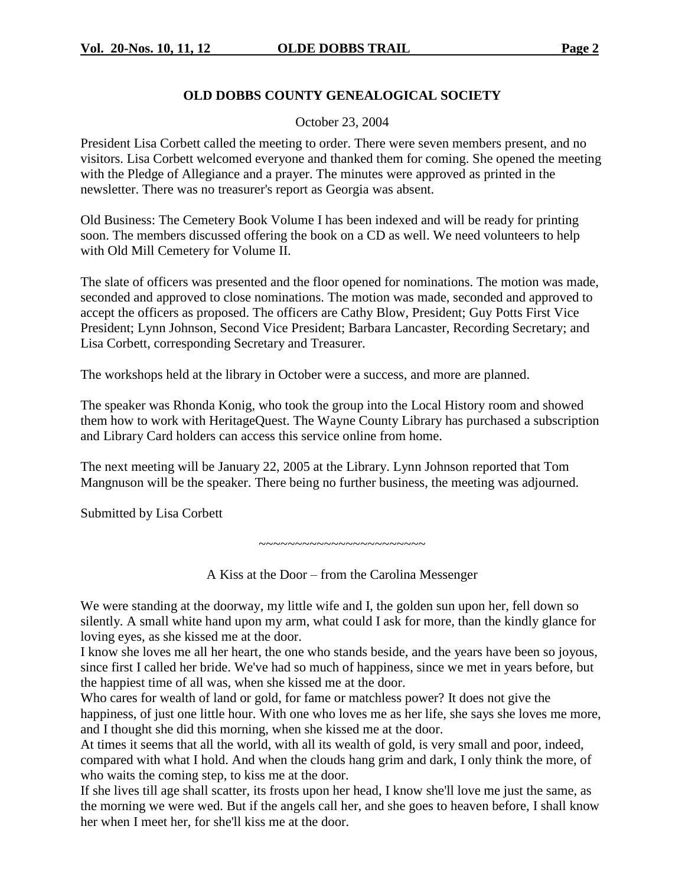# **OLD DOBBS COUNTY GENEALOGICAL SOCIETY**

# October 23, 2004

President Lisa Corbett called the meeting to order. There were seven members present, and no visitors. Lisa Corbett welcomed everyone and thanked them for coming. She opened the meeting with the Pledge of Allegiance and a prayer. The minutes were approved as printed in the newsletter. There was no treasurer's report as Georgia was absent.

Old Business: The Cemetery Book Volume I has been indexed and will be ready for printing soon. The members discussed offering the book on a CD as well. We need volunteers to help with Old Mill Cemetery for Volume II.

The slate of officers was presented and the floor opened for nominations. The motion was made, seconded and approved to close nominations. The motion was made, seconded and approved to accept the officers as proposed. The officers are Cathy Blow, President; Guy Potts First Vice President; Lynn Johnson, Second Vice President; Barbara Lancaster, Recording Secretary; and Lisa Corbett, corresponding Secretary and Treasurer.

The workshops held at the library in October were a success, and more are planned.

The speaker was Rhonda Konig, who took the group into the Local History room and showed them how to work with HeritageQuest. The Wayne County Library has purchased a subscription and Library Card holders can access this service online from home.

The next meeting will be January 22, 2005 at the Library. Lynn Johnson reported that Tom Mangnuson will be the speaker. There being no further business, the meeting was adjourned.

Submitted by Lisa Corbett

~~~~~~~~~~~~~~~~~~~~~~~

A Kiss at the Door – from the Carolina Messenger

We were standing at the doorway, my little wife and I, the golden sun upon her, fell down so silently. A small white hand upon my arm, what could I ask for more, than the kindly glance for loving eyes, as she kissed me at the door.

I know she loves me all her heart, the one who stands beside, and the years have been so joyous, since first I called her bride. We've had so much of happiness, since we met in years before, but the happiest time of all was, when she kissed me at the door.

Who cares for wealth of land or gold, for fame or matchless power? It does not give the happiness, of just one little hour. With one who loves me as her life, she says she loves me more, and I thought she did this morning, when she kissed me at the door.

At times it seems that all the world, with all its wealth of gold, is very small and poor, indeed, compared with what I hold. And when the clouds hang grim and dark, I only think the more, of who waits the coming step, to kiss me at the door.

If she lives till age shall scatter, its frosts upon her head, I know she'll love me just the same, as the morning we were wed. But if the angels call her, and she goes to heaven before, I shall know her when I meet her, for she'll kiss me at the door.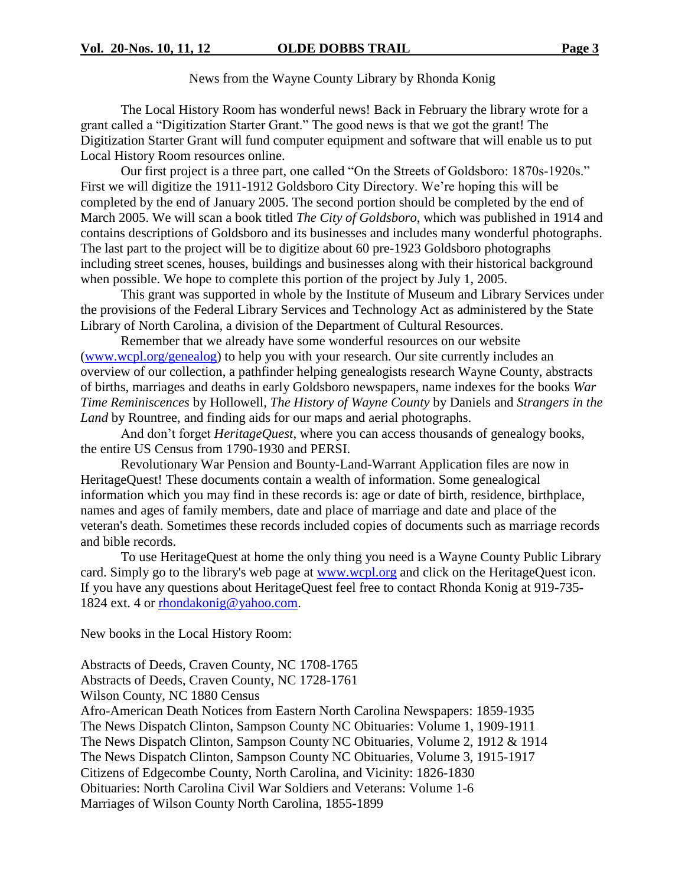News from the Wayne County Library by Rhonda Konig

The Local History Room has wonderful news! Back in February the library wrote for a grant called a "Digitization Starter Grant." The good news is that we got the grant! The Digitization Starter Grant will fund computer equipment and software that will enable us to put Local History Room resources online.

Our first project is a three part, one called "On the Streets of Goldsboro: 1870s-1920s." First we will digitize the 1911-1912 Goldsboro City Directory. We're hoping this will be completed by the end of January 2005. The second portion should be completed by the end of March 2005. We will scan a book titled *The City of Goldsboro*, which was published in 1914 and contains descriptions of Goldsboro and its businesses and includes many wonderful photographs. The last part to the project will be to digitize about 60 pre-1923 Goldsboro photographs including street scenes, houses, buildings and businesses along with their historical background when possible. We hope to complete this portion of the project by July 1, 2005.

This grant was supported in whole by the Institute of Museum and Library Services under the provisions of the Federal Library Services and Technology Act as administered by the State Library of North Carolina, a division of the Department of Cultural Resources.

Remember that we already have some wonderful resources on our website (www.wcpl.org/genealog) to help you with your research. Our site currently includes an overview of our collection, a pathfinder helping genealogists research Wayne County, abstracts of births, marriages and deaths in early Goldsboro newspapers, name indexes for the books *War Time Reminiscences* by Hollowell, *The History of Wayne County* by Daniels and *Strangers in the Land* by Rountree, and finding aids for our maps and aerial photographs.

And don't forget *HeritageQuest*, where you can access thousands of genealogy books, the entire US Census from 1790-1930 and PERSI.

Revolutionary War Pension and Bounty-Land-Warrant Application files are now in HeritageQuest! These documents contain a wealth of information. Some genealogical information which you may find in these records is: age or date of birth, residence, birthplace, names and ages of family members, date and place of marriage and date and place of the veteran's death. Sometimes these records included copies of documents such as marriage records and bible records.

To use HeritageQuest at home the only thing you need is a Wayne County Public Library card. Simply go to the library's web page at www.wcpl.org and click on the HeritageQuest icon. If you have any questions about HeritageQuest feel free to contact Rhonda Konig at 919-735- 1824 ext. 4 or rhondakonig@yahoo.com.

New books in the Local History Room:

Abstracts of Deeds, Craven County, NC 1708-1765 Abstracts of Deeds, Craven County, NC 1728-1761 Wilson County, NC 1880 Census Afro-American Death Notices from Eastern North Carolina Newspapers: 1859-1935 The News Dispatch Clinton, Sampson County NC Obituaries: Volume 1, 1909-1911 The News Dispatch Clinton, Sampson County NC Obituaries, Volume 2, 1912 & 1914 The News Dispatch Clinton, Sampson County NC Obituaries, Volume 3, 1915-1917 Citizens of Edgecombe County, North Carolina, and Vicinity: 1826-1830 Obituaries: North Carolina Civil War Soldiers and Veterans: Volume 1-6 Marriages of Wilson County North Carolina, 1855-1899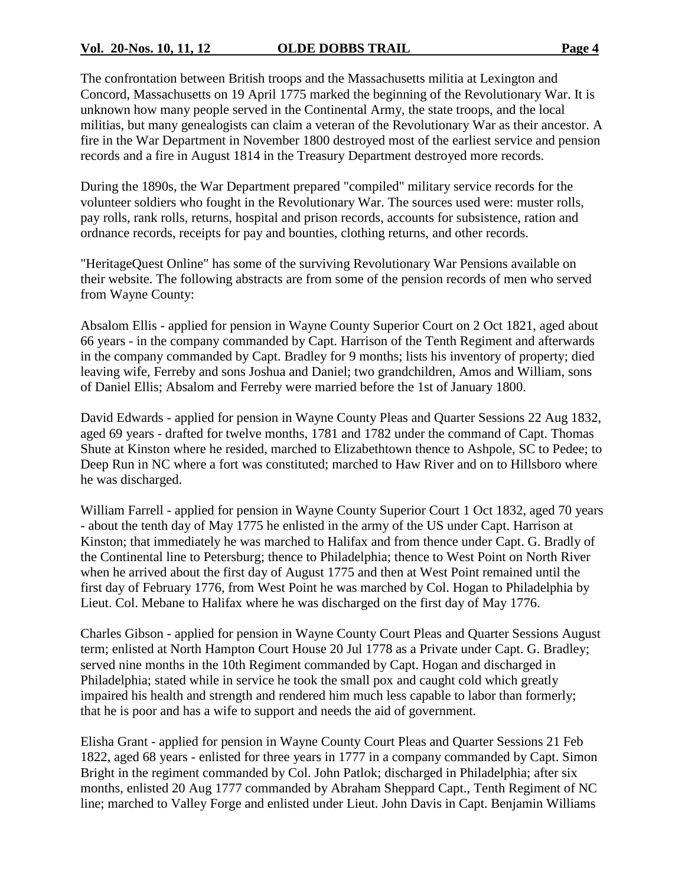The confrontation between British troops and the Massachusetts militia at Lexington and Concord, Massachusetts on 19 April 1775 marked the beginning of the Revolutionary War. It is unknown how many people served in the Continental Army, the state troops, and the local militias, but many genealogists can claim a veteran of the Revolutionary War as their ancestor. A fire in the War Department in November 1800 destroyed most of the earliest service and pension records and a fire in August 1814 in the Treasury Department destroyed more records.

During the 1890s, the War Department prepared "compiled" military service records for the volunteer soldiers who fought in the Revolutionary War. The sources used were: muster rolls, pay rolls, rank rolls, returns, hospital and prison records, accounts for subsistence, ration and ordnance records, receipts for pay and bounties, clothing returns, and other records.

"HeritageQuest Online" has some of the surviving Revolutionary War Pensions available on their website. The following abstracts are from some of the pension records of men who served from Wayne County:

Absalom Ellis - applied for pension in Wayne County Superior Court on 2 Oct 1821, aged about 66 years - in the company commanded by Capt. Harrison of the Tenth Regiment and afterwards in the company commanded by Capt. Bradley for 9 months; lists his inventory of property; died leaving wife, Ferreby and sons Joshua and Daniel; two grandchildren, Amos and William, sons of Daniel Ellis; Absalom and Ferreby were married before the 1st of January 1800.

David Edwards - applied for pension in Wayne County Pleas and Quarter Sessions 22 Aug 1832, aged 69 years - drafted for twelve months, 1781 and 1782 under the command of Capt. Thomas Shute at Kinston where he resided, marched to Elizabethtown thence to Ashpole, SC to Pedee; to Deep Run in NC where a fort was constituted; marched to Haw River and on to Hillsboro where he was discharged.

William Farrell - applied for pension in Wayne County Superior Court 1 Oct 1832, aged 70 years - about the tenth day of May 1775 he enlisted in the army of the US under Capt. Harrison at Kinston; that immediately he was marched to Halifax and from thence under Capt. G. Bradly of the Continental line to Petersburg; thence to Philadelphia; thence to West Point on North River when he arrived about the first day of August 1775 and then at West Point remained until the first day of February 1776, from West Point he was marched by Col. Hogan to Philadelphia by Lieut. Col. Mebane to Halifax where he was discharged on the first day of May 1776.

Charles Gibson - applied for pension in Wayne County Court Pleas and Quarter Sessions August term; enlisted at North Hampton Court House 20 Jul 1778 as a Private under Capt. G. Bradley; served nine months in the 10th Regiment commanded by Capt. Hogan and discharged in Philadelphia; stated while in service he took the small pox and caught cold which greatly impaired his health and strength and rendered him much less capable to labor than formerly; that he is poor and has a wife to support and needs the aid of government.

Elisha Grant - applied for pension in Wayne County Court Pleas and Quarter Sessions 21 Feb 1822, aged 68 years - enlisted for three years in 1777 in a company commanded by Capt. Simon Bright in the regiment commanded by Col. John Patlok; discharged in Philadelphia; after six months, enlisted 20 Aug 1777 commanded by Abraham Sheppard Capt., Tenth Regiment of NC line; marched to Valley Forge and enlisted under Lieut. John Davis in Capt. Benjamin Williams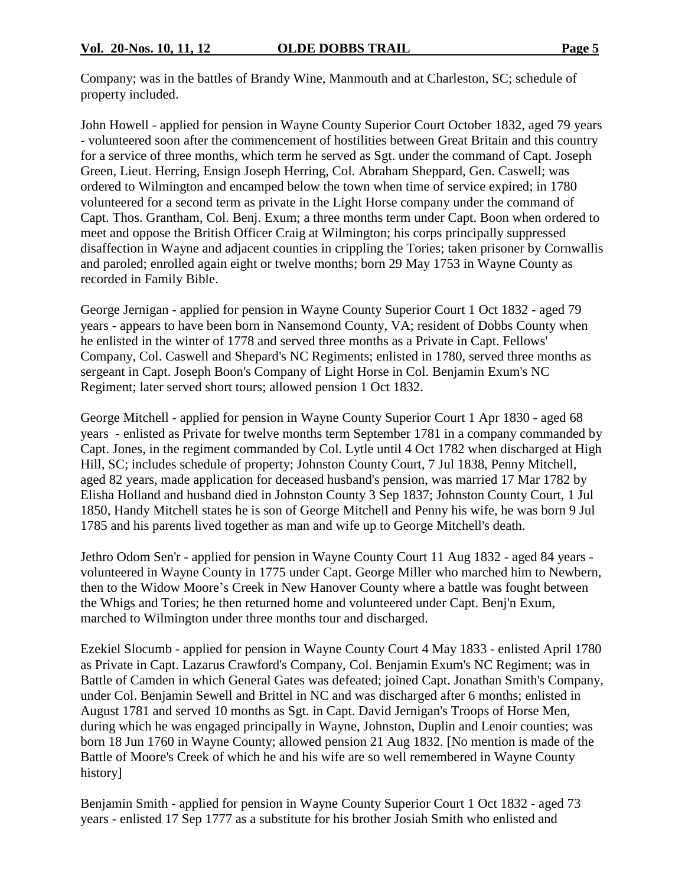Company; was in the battles of Brandy Wine, Manmouth and at Charleston, SC; schedule of property included.

John Howell - applied for pension in Wayne County Superior Court October 1832, aged 79 years - volunteered soon after the commencement of hostilities between Great Britain and this country for a service of three months, which term he served as Sgt. under the command of Capt. Joseph Green, Lieut. Herring, Ensign Joseph Herring, Col. Abraham Sheppard, Gen. Caswell; was ordered to Wilmington and encamped below the town when time of service expired; in 1780 volunteered for a second term as private in the Light Horse company under the command of Capt. Thos. Grantham, Col. Benj. Exum; a three months term under Capt. Boon when ordered to meet and oppose the British Officer Craig at Wilmington; his corps principally suppressed disaffection in Wayne and adjacent counties in crippling the Tories; taken prisoner by Cornwallis and paroled; enrolled again eight or twelve months; born 29 May 1753 in Wayne County as recorded in Family Bible.

George Jernigan - applied for pension in Wayne County Superior Court 1 Oct 1832 - aged 79 years - appears to have been born in Nansemond County, VA; resident of Dobbs County when he enlisted in the winter of 1778 and served three months as a Private in Capt. Fellows' Company, Col. Caswell and Shepard's NC Regiments; enlisted in 1780, served three months as sergeant in Capt. Joseph Boon's Company of Light Horse in Col. Benjamin Exum's NC Regiment; later served short tours; allowed pension 1 Oct 1832.

George Mitchell - applied for pension in Wayne County Superior Court 1 Apr 1830 - aged 68 years - enlisted as Private for twelve months term September 1781 in a company commanded by Capt. Jones, in the regiment commanded by Col. Lytle until 4 Oct 1782 when discharged at High Hill, SC; includes schedule of property; Johnston County Court, 7 Jul 1838, Penny Mitchell, aged 82 years, made application for deceased husband's pension, was married 17 Mar 1782 by Elisha Holland and husband died in Johnston County 3 Sep 1837; Johnston County Court, 1 Jul 1850, Handy Mitchell states he is son of George Mitchell and Penny his wife, he was born 9 Jul 1785 and his parents lived together as man and wife up to George Mitchell's death.

Jethro Odom Sen'r - applied for pension in Wayne County Court 11 Aug 1832 - aged 84 years volunteered in Wayne County in 1775 under Capt. George Miller who marched him to Newbern, then to the Widow Moore's Creek in New Hanover County where a battle was fought between the Whigs and Tories; he then returned home and volunteered under Capt. Benj'n Exum, marched to Wilmington under three months tour and discharged.

Ezekiel Slocumb - applied for pension in Wayne County Court 4 May 1833 - enlisted April 1780 as Private in Capt. Lazarus Crawford's Company, Col. Benjamin Exum's NC Regiment; was in Battle of Camden in which General Gates was defeated; joined Capt. Jonathan Smith's Company, under Col. Benjamin Sewell and Brittel in NC and was discharged after 6 months; enlisted in August 1781 and served 10 months as Sgt. in Capt. David Jernigan's Troops of Horse Men, during which he was engaged principally in Wayne, Johnston, Duplin and Lenoir counties; was born 18 Jun 1760 in Wayne County; allowed pension 21 Aug 1832. [No mention is made of the Battle of Moore's Creek of which he and his wife are so well remembered in Wayne County history]

Benjamin Smith - applied for pension in Wayne County Superior Court 1 Oct 1832 - aged 73 years - enlisted 17 Sep 1777 as a substitute for his brother Josiah Smith who enlisted and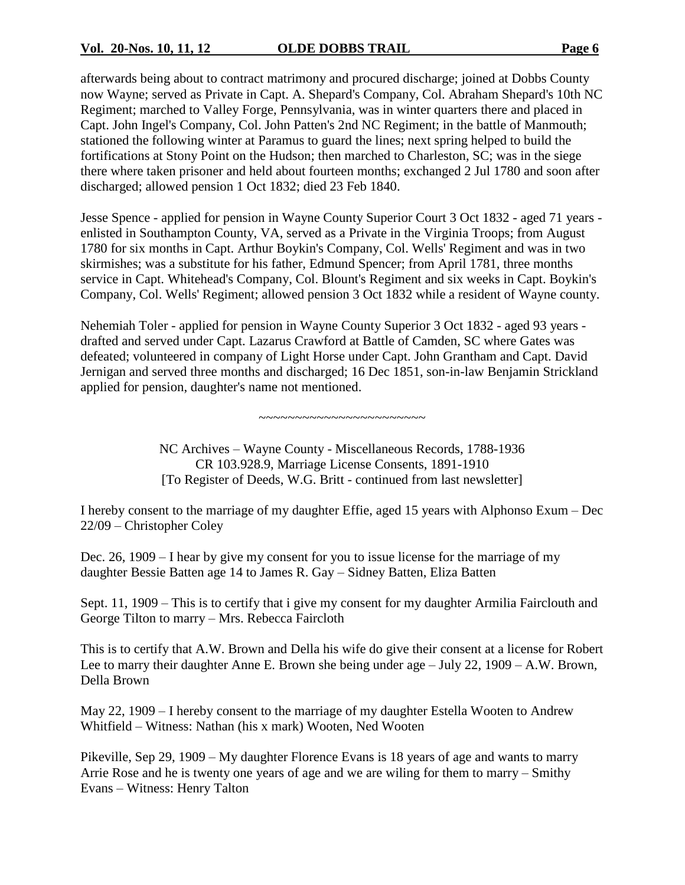afterwards being about to contract matrimony and procured discharge; joined at Dobbs County now Wayne; served as Private in Capt. A. Shepard's Company, Col. Abraham Shepard's 10th NC Regiment; marched to Valley Forge, Pennsylvania, was in winter quarters there and placed in Capt. John Ingel's Company, Col. John Patten's 2nd NC Regiment; in the battle of Manmouth; stationed the following winter at Paramus to guard the lines; next spring helped to build the fortifications at Stony Point on the Hudson; then marched to Charleston, SC; was in the siege there where taken prisoner and held about fourteen months; exchanged 2 Jul 1780 and soon after discharged; allowed pension 1 Oct 1832; died 23 Feb 1840.

Jesse Spence - applied for pension in Wayne County Superior Court 3 Oct 1832 - aged 71 years enlisted in Southampton County, VA, served as a Private in the Virginia Troops; from August 1780 for six months in Capt. Arthur Boykin's Company, Col. Wells' Regiment and was in two skirmishes; was a substitute for his father, Edmund Spencer; from April 1781, three months service in Capt. Whitehead's Company, Col. Blount's Regiment and six weeks in Capt. Boykin's Company, Col. Wells' Regiment; allowed pension 3 Oct 1832 while a resident of Wayne county.

Nehemiah Toler - applied for pension in Wayne County Superior 3 Oct 1832 - aged 93 years drafted and served under Capt. Lazarus Crawford at Battle of Camden, SC where Gates was defeated; volunteered in company of Light Horse under Capt. John Grantham and Capt. David Jernigan and served three months and discharged; 16 Dec 1851, son-in-law Benjamin Strickland applied for pension, daughter's name not mentioned.

~~~~~~~~~~~~~~~~~~~~~~~

NC Archives – Wayne County - Miscellaneous Records, 1788-1936 CR 103.928.9, Marriage License Consents, 1891-1910 [To Register of Deeds, W.G. Britt - continued from last newsletter]

I hereby consent to the marriage of my daughter Effie, aged 15 years with Alphonso Exum –Dec 22/09 –Christopher Coley

Dec. 26, 1909 –I hear by give my consent for you to issue license for the marriage of my daughter Bessie Batten age 14 to James R. Gay – Sidney Batten, Eliza Batten

Sept. 11, 1909 – This is to certify that i give my consent for my daughter Armilia Fairclouth and George Tilton to marry – Mrs. Rebecca Faircloth

This is to certify that A.W. Brown and Della his wife do give their consent at a license for Robert Lee to marry their daughter Anne E. Brown she being under age – July 22, 1909 – A.W. Brown, Della Brown

May 22, 1909 –I hereby consent to the marriage of my daughter Estella Wooten to Andrew Whitfield –Witness: Nathan (his x mark) Wooten, Ned Wooten

Pikeville, Sep 29, 1909 – My daughter Florence Evans is 18 years of age and wants to marry Arrie Rose and he is twenty one years of age and we are wiling for them to marry –Smithy Evans –Witness: Henry Talton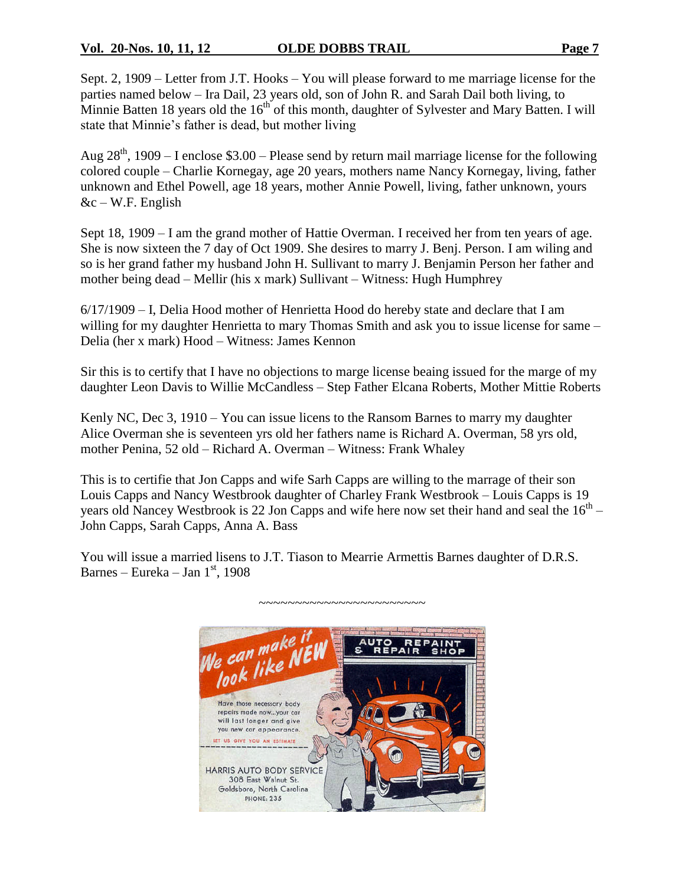# **Vol. 20-Nos. 10, 11, 12 OLDE DOBBS TRAIL Page 7**

Sept. 2, 1909 – Letter from J.T. Hooks – You will please forward to me marriage license for the parties named below –Ira Dail, 23 years old, son of John R. and Sarah Dail both living, to Minnie Batten 18 years old the  $16<sup>th</sup>$  of this month, daughter of Sylvester and Mary Batten. I will state that Minnie's father is dead, but mother living

Aug  $28<sup>th</sup>$ , 1909 – I enclose \$3.00 – Please send by return mail marriage license for the following colored couple –Charlie Kornegay, age 20 years, mothers name Nancy Kornegay, living, father unknown and Ethel Powell, age 18 years, mother Annie Powell, living, father unknown, yours  $&c-W.F.$  English

Sept 18, 1909 – I am the grand mother of Hattie Overman. I received her from ten years of age. She is now sixteen the 7 day of Oct 1909. She desires to marry J. Benj. Person. I am wiling and so is her grand father my husband John H. Sullivant to marry J. Benjamin Person her father and mother being dead – Mellir (his x mark) Sullivant – Witness: Hugh Humphrey

 $6/17/1909 - I$ , Delia Hood mother of Henrietta Hood do hereby state and declare that I am willing for my daughter Henrietta to mary Thomas Smith and ask you to issue license for same – Delia (her x mark) Hood –Witness: James Kennon

Sir this is to certify that I have no objections to marge license beaing issued for the marge of my daughter Leon Davis to Willie McCandless - Step Father Elcana Roberts, Mother Mittie Roberts

Kenly NC, Dec 3, 1910 – You can issue licens to the Ransom Barnes to marry my daughter Alice Overman she is seventeen yrs old her fathers name is Richard A. Overman, 58 yrs old, mother Penina, 52 old – Richard A. Overman – Witness: Frank Whaley

This is to certifie that Jon Capps and wife Sarh Capps are willing to the marrage of their son Louis Capps and Nancy Westbrook daughter of Charley Frank Westbrook –Louis Capps is 19 years old Nancey Westbrook is 22 Jon Capps and wife here now set their hand and seal the  $16<sup>th</sup> -$ John Capps, Sarah Capps, Anna A. Bass

You will issue a married lisens to J.T. Tiason to Mearrie Armettis Barnes daughter of D.R.S. Barnes – Eureka – Jan  $1<sup>st</sup>$ , 1908

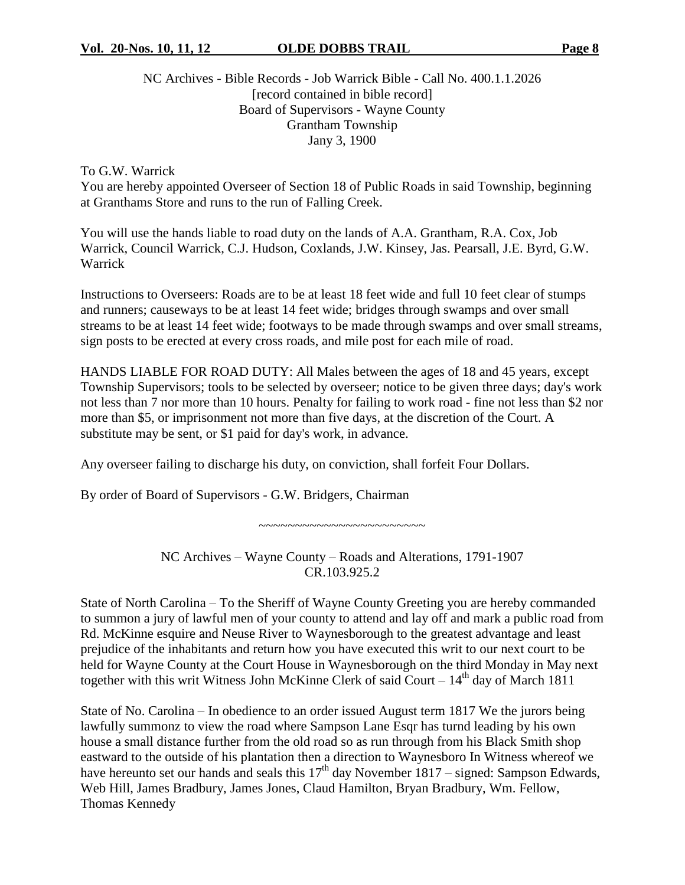# NC Archives - Bible Records - Job Warrick Bible - Call No. 400.1.1.2026 [record contained in bible record] Board of Supervisors - Wayne County Grantham Township Jany 3, 1900

To G.W. Warrick

You are hereby appointed Overseer of Section 18 of Public Roads in said Township, beginning at Granthams Store and runs to the run of Falling Creek.

You will use the hands liable to road duty on the lands of A.A. Grantham, R.A. Cox, Job Warrick, Council Warrick, C.J. Hudson, Coxlands, J.W. Kinsey, Jas. Pearsall, J.E. Byrd, G.W. Warrick

Instructions to Overseers: Roads are to be at least 18 feet wide and full 10 feet clear of stumps and runners; causeways to be at least 14 feet wide; bridges through swamps and over small streams to be at least 14 feet wide; footways to be made through swamps and over small streams, sign posts to be erected at every cross roads, and mile post for each mile of road.

HANDS LIABLE FOR ROAD DUTY: All Males between the ages of 18 and 45 years, except Township Supervisors; tools to be selected by overseer; notice to be given three days; day's work not less than 7 nor more than 10 hours. Penalty for failing to work road - fine not less than \$2 nor more than \$5, or imprisonment not more than five days, at the discretion of the Court. A substitute may be sent, or \$1 paid for day's work, in advance.

Any overseer failing to discharge his duty, on conviction, shall forfeit Four Dollars.

By order of Board of Supervisors - G.W. Bridgers, Chairman

~~~~~~~~~~~~~~~~~~~~~~~

NC Archives – Wayne County – Roads and Alterations, 1791-1907 CR.103.925.2

State of North Carolina – To the Sheriff of Wayne County Greeting you are hereby commanded to summon a jury of lawful men of your county to attend and lay off and mark a public road from Rd. McKinne esquire and Neuse River to Waynesborough to the greatest advantage and least prejudice of the inhabitants and return how you have executed this writ to our next court to be held for Wayne County at the Court House in Waynesborough on the third Monday in May next together with this writ Witness John McKinne Clerk of said Court –  $14<sup>th</sup>$  day of March 1811

State of No. Carolina – In obedience to an order issued August term 1817 We the jurors being lawfully summonz to view the road where Sampson Lane Esqr has turnd leading by his own house a small distance further from the old road so as run through from his Black Smith shop eastward to the outside of his plantation then a direction to Waynesboro In Witness whereof we have hereunto set our hands and seals this  $17<sup>th</sup>$  day November 1817 – signed: Sampson Edwards, Web Hill, James Bradbury, James Jones, Claud Hamilton, Bryan Bradbury, Wm. Fellow, Thomas Kennedy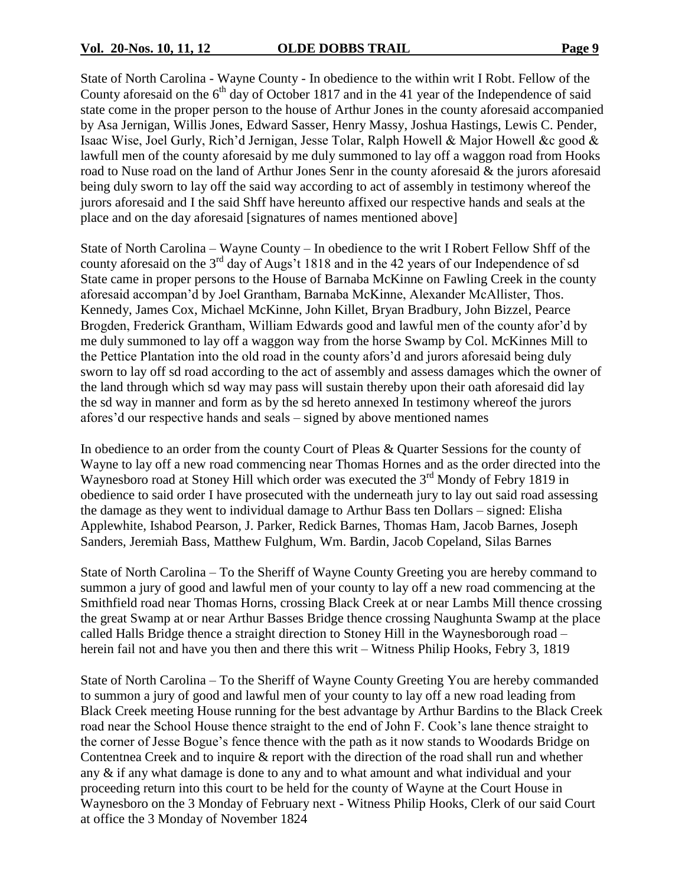State of North Carolina - Wayne County - In obedience to the within writ I Robt. Fellow of the County aforesaid on the  $6<sup>th</sup>$  day of October 1817 and in the 41 year of the Independence of said state come in the proper person to the house of Arthur Jones in the county aforesaid accompanied by Asa Jernigan, Willis Jones, Edward Sasser, Henry Massy, Joshua Hastings, Lewis C. Pender, Isaac Wise, Joel Gurly, Rich'd Jernigan, Jesse Tolar, Ralph Howell & Major Howell &c good  $\&$ lawfull men of the county aforesaid by me duly summoned to lay off a waggon road from Hooks road to Nuse road on the land of Arthur Jones Senr in the county aforesaid & the jurors aforesaid being duly sworn to lay off the said way according to act of assembly in testimony whereof the jurors aforesaid and I the said Shff have hereunto affixed our respective hands and seals at the place and on the day aforesaid [signatures of names mentioned above]

State of North Carolina – Wayne County – In obedience to the writ I Robert Fellow Shff of the county aforesaid on the  $3<sup>rd</sup>$  day of Augs't 1818 and in the 42 years of our Independence of sd State came in proper persons to the House of Barnaba McKinne on Fawling Creek in the county aforesaid accompan'd by Joel Grantham, Barnaba McKinne, Alexander McAllister, Thos. Kennedy, James Cox, Michael McKinne, John Killet, Bryan Bradbury, John Bizzel, Pearce Brogden, Frederick Grantham, William Edwards good and lawful men of the county afor'd by me duly summoned to lay off a waggon way from the horse Swamp by Col. McKinnes Mill to the Pettice Plantation into the old road in the county afors'd and jurors aforesaid being duly sworn to lay off sd road according to the act of assembly and assess damages which the owner of the land through which sd way may pass will sustain thereby upon their oath aforesaid did lay the sd way in manner and form as by the sd hereto annexed In testimony whereof the jurors afores'd our respective hands and seals – signed by above mentioned names

In obedience to an order from the county Court of Pleas & Quarter Sessions for the county of Wayne to lay off a new road commencing near Thomas Hornes and as the order directed into the Waynesboro road at Stoney Hill which order was executed the 3<sup>rd</sup> Mondy of Febry 1819 in obedience to said order I have prosecuted with the underneath jury to lay out said road assessing the damage as they went to individual damage to Arthur Bass ten Dollars – signed: Elisha Applewhite, Ishabod Pearson, J. Parker, Redick Barnes, Thomas Ham, Jacob Barnes, Joseph Sanders, Jeremiah Bass, Matthew Fulghum, Wm. Bardin, Jacob Copeland, Silas Barnes

State of North Carolina –To the Sheriff of Wayne County Greeting you are hereby command to summon a jury of good and lawful men of your county to lay off a new road commencing at the Smithfield road near Thomas Horns, crossing Black Creek at or near Lambs Mill thence crossing the great Swamp at or near Arthur Basses Bridge thence crossing Naughunta Swamp at the place called Halls Bridge thence a straight direction to Stoney Hill in the Waynesborough road – herein fail not and have you then and there this writ – Witness Philip Hooks, Febry 3, 1819

State of North Carolina –To the Sheriff of Wayne County Greeting You are hereby commanded to summon a jury of good and lawful men of your county to lay off a new road leading from Black Creek meeting House running for the best advantage by Arthur Bardins to the Black Creek road near the School House thence straight to the end of John F. Cook's lane thence straight to the corner of Jesse Bogue's fence thence with the path as it now stands to Woodards Bridge on Contentnea Creek and to inquire & report with the direction of the road shall run and whether any & if any what damage is done to any and to what amount and what individual and your proceeding return into this court to be held for the county of Wayne at the Court House in Waynesboro on the 3 Monday of February next - Witness Philip Hooks, Clerk of our said Court at office the 3 Monday of November 1824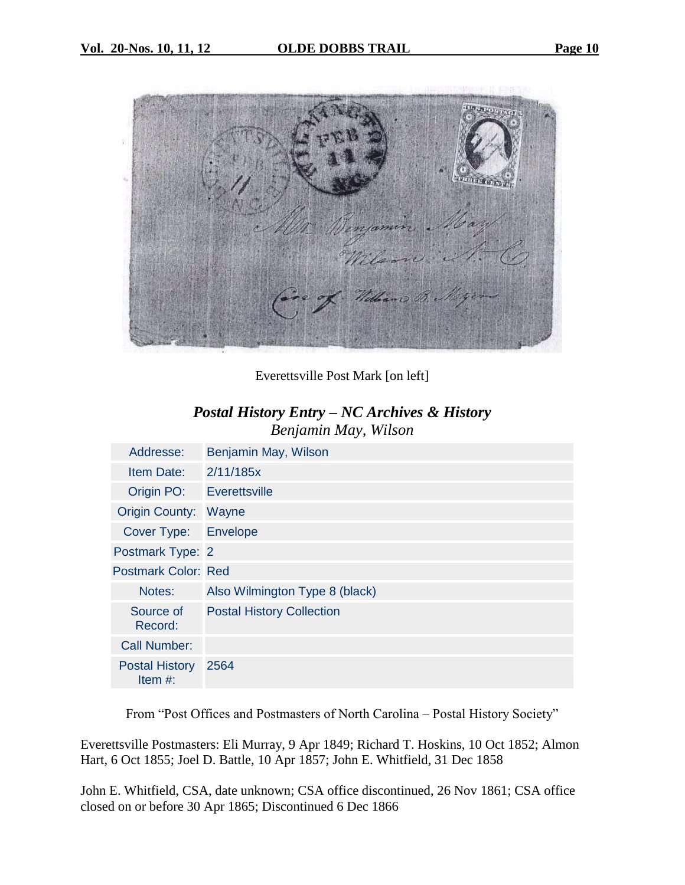



Everettsville Post Mark [on left]

# *Postal History Entry –NC Archives & History Benjamin May, Wilson*

| Addresse:                           | Benjamin May, Wilson             |
|-------------------------------------|----------------------------------|
| Item Date:                          | 2/11/185x                        |
| Origin PO:                          | Everettsville                    |
| Origin County: Wayne                |                                  |
| Cover Type:                         | Envelope                         |
| Postmark Type: 2                    |                                  |
| <b>Postmark Color: Red</b>          |                                  |
| Notes:                              | Also Wilmington Type 8 (black)   |
| Source of<br>Record:                | <b>Postal History Collection</b> |
| <b>Call Number:</b>                 |                                  |
| <b>Postal History</b><br>Item $#$ : | 2564                             |

From "Post Offices and Postmasters of North Carolina – Postal History Society"

Everettsville Postmasters: Eli Murray, 9 Apr 1849; Richard T. Hoskins, 10 Oct 1852; Almon Hart, 6 Oct 1855; Joel D. Battle, 10 Apr 1857; John E. Whitfield, 31 Dec 1858

John E. Whitfield, CSA, date unknown; CSA office discontinued, 26 Nov 1861; CSA office closed on or before 30 Apr 1865; Discontinued 6 Dec 1866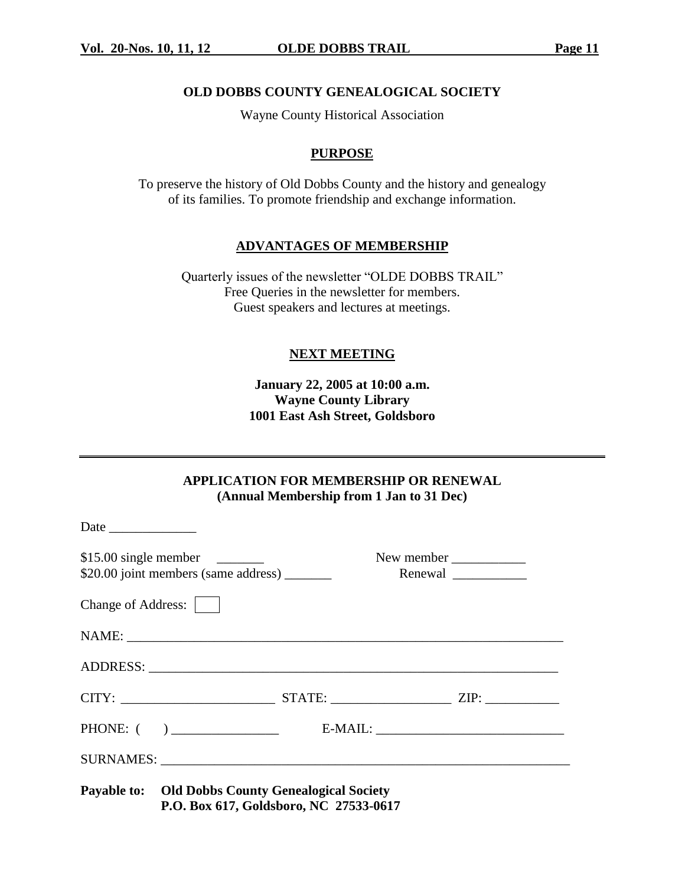# **OLD DOBBS COUNTY GENEALOGICAL SOCIETY**

Wayne County Historical Association

# **PURPOSE**

To preserve the history of Old Dobbs County and the history and genealogy of its families. To promote friendship and exchange information.

# **ADVANTAGES OF MEMBERSHIP**

Quarterly issues of the newsletter "OLDE DOBBS TRAIL" Free Queries in the newsletter for members. Guest speakers and lectures at meetings.

# **NEXT MEETING**

**January 22, 2005 at 10:00 a.m. Wayne County Library 1001 East Ash Street, Goldsboro**

**APPLICATION FOR MEMBERSHIP OR RENEWAL (Annual Membership from 1 Jan to 31 Dec)**

|                    |                                                                                                    |  | New member |
|--------------------|----------------------------------------------------------------------------------------------------|--|------------|
| Change of Address: |                                                                                                    |  |            |
|                    |                                                                                                    |  |            |
|                    |                                                                                                    |  |            |
|                    |                                                                                                    |  |            |
|                    |                                                                                                    |  |            |
|                    |                                                                                                    |  |            |
|                    | <b>Payable to:</b> Old Dobbs County Genealogical Society<br>P.O. Box 617, Goldsboro, NC 27533-0617 |  |            |